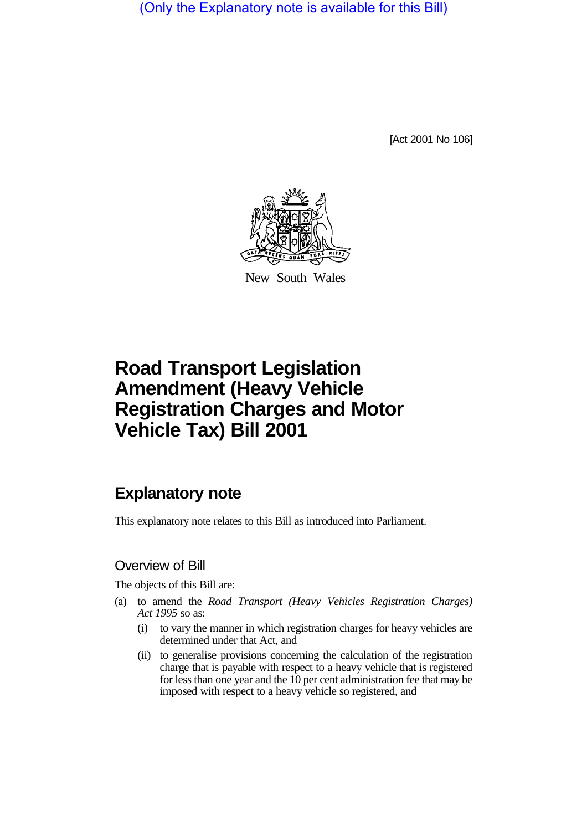(Only the Explanatory note is available for this Bill)

[Act 2001 No 106]



New South Wales

# **Road Transport Legislation Amendment (Heavy Vehicle Registration Charges and Motor Vehicle Tax) Bill 2001**

# **Explanatory note**

This explanatory note relates to this Bill as introduced into Parliament.

### Overview of Bill

The objects of this Bill are:

- (a) to amend the *Road Transport (Heavy Vehicles Registration Charges) Act 1995* so as:
	- (i) to vary the manner in which registration charges for heavy vehicles are determined under that Act, and
	- (ii) to generalise provisions concerning the calculation of the registration charge that is payable with respect to a heavy vehicle that is registered for less than one year and the 10 per cent administration fee that may be imposed with respect to a heavy vehicle so registered, and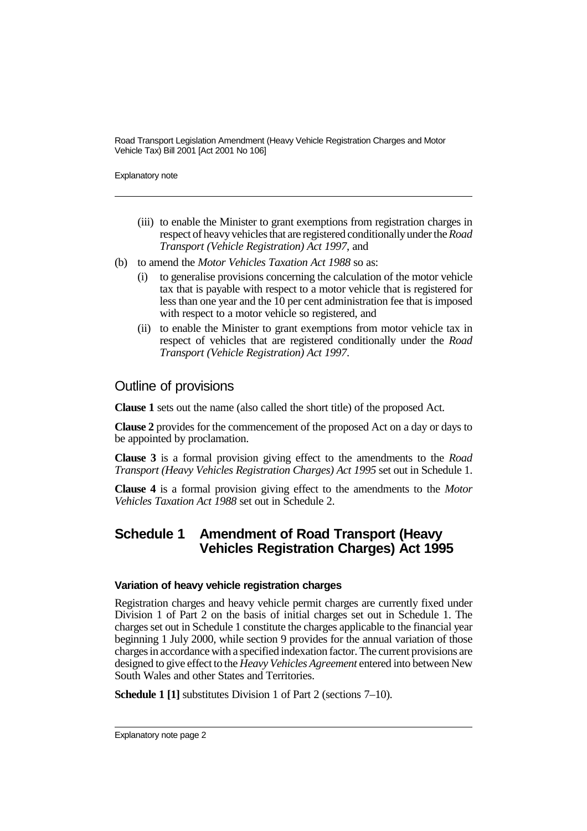Road Transport Legislation Amendment (Heavy Vehicle Registration Charges and Motor Vehicle Tax) Bill 2001 [Act 2001 No 106]

Explanatory note

- (iii) to enable the Minister to grant exemptions from registration charges in respect of heavy vehicles that are registered conditionally under the *Road Transport (Vehicle Registration) Act 1997*, and
- (b) to amend the *Motor Vehicles Taxation Act 1988* so as:
	- (i) to generalise provisions concerning the calculation of the motor vehicle tax that is payable with respect to a motor vehicle that is registered for less than one year and the 10 per cent administration fee that is imposed with respect to a motor vehicle so registered, and
	- (ii) to enable the Minister to grant exemptions from motor vehicle tax in respect of vehicles that are registered conditionally under the *Road Transport (Vehicle Registration) Act 1997*.

### Outline of provisions

**Clause 1** sets out the name (also called the short title) of the proposed Act.

**Clause 2** provides for the commencement of the proposed Act on a day or days to be appointed by proclamation.

**Clause 3** is a formal provision giving effect to the amendments to the *Road Transport (Heavy Vehicles Registration Charges) Act 1995* set out in Schedule 1.

**Clause 4** is a formal provision giving effect to the amendments to the *Motor Vehicles Taxation Act 1988* set out in Schedule 2.

## **Schedule 1 Amendment of Road Transport (Heavy Vehicles Registration Charges) Act 1995**

#### **Variation of heavy vehicle registration charges**

Registration charges and heavy vehicle permit charges are currently fixed under Division 1 of Part 2 on the basis of initial charges set out in Schedule 1. The charges set out in Schedule 1 constitute the charges applicable to the financial year beginning 1 July 2000, while section 9 provides for the annual variation of those charges in accordance with a specified indexation factor. The current provisions are designed to give effect to the *Heavy Vehicles Agreement* entered into between New South Wales and other States and Territories.

**Schedule 1 [1]** substitutes Division 1 of Part 2 (sections 7–10).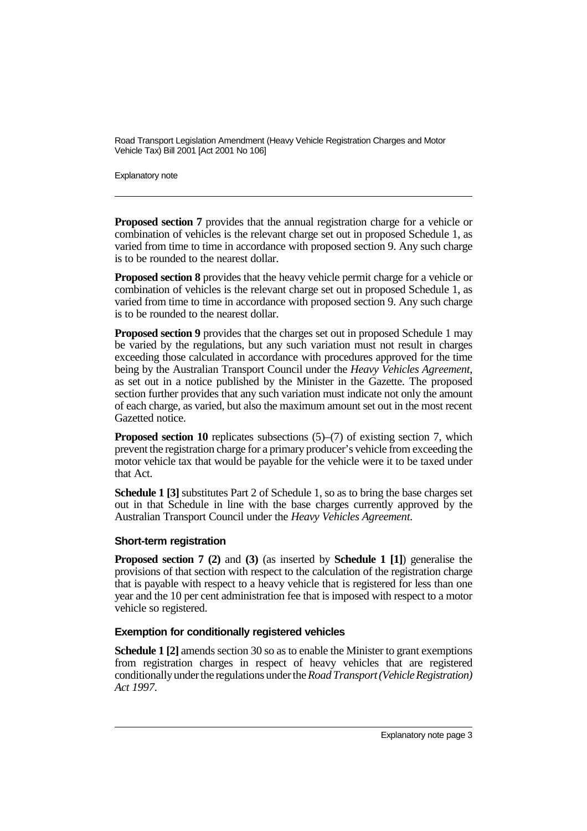Road Transport Legislation Amendment (Heavy Vehicle Registration Charges and Motor Vehicle Tax) Bill 2001 [Act 2001 No 106]

Explanatory note

**Proposed section 7** provides that the annual registration charge for a vehicle or combination of vehicles is the relevant charge set out in proposed Schedule 1, as varied from time to time in accordance with proposed section 9. Any such charge is to be rounded to the nearest dollar.

**Proposed section 8** provides that the heavy vehicle permit charge for a vehicle or combination of vehicles is the relevant charge set out in proposed Schedule 1, as varied from time to time in accordance with proposed section 9. Any such charge is to be rounded to the nearest dollar.

**Proposed section 9** provides that the charges set out in proposed Schedule 1 may be varied by the regulations, but any such variation must not result in charges exceeding those calculated in accordance with procedures approved for the time being by the Australian Transport Council under the *Heavy Vehicles Agreement*, as set out in a notice published by the Minister in the Gazette. The proposed section further provides that any such variation must indicate not only the amount of each charge, as varied, but also the maximum amount set out in the most recent Gazetted notice.

**Proposed section 10** replicates subsections (5)–(7) of existing section 7, which prevent the registration charge for a primary producer's vehicle from exceeding the motor vehicle tax that would be payable for the vehicle were it to be taxed under that Act.

**Schedule 1 [3]** substitutes Part 2 of Schedule 1, so as to bring the base charges set out in that Schedule in line with the base charges currently approved by the Australian Transport Council under the *Heavy Vehicles Agreement*.

#### **Short-term registration**

**Proposed section 7 (2)** and **(3)** (as inserted by **Schedule 1 [1]**) generalise the provisions of that section with respect to the calculation of the registration charge that is payable with respect to a heavy vehicle that is registered for less than one year and the 10 per cent administration fee that is imposed with respect to a motor vehicle so registered.

#### **Exemption for conditionally registered vehicles**

**Schedule 1 [2]** amends section 30 so as to enable the Minister to grant exemptions from registration charges in respect of heavy vehicles that are registered conditionally under the regulations under the *Road Transport (Vehicle Registration) Act 1997*.